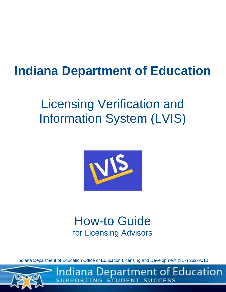# **Indiana Department of Education**

# Licensing Verification and Information System (LVIS)



## How-to Guide for Licensing Advisors

Indiana Department of Education Office of Education Licensing and Development (317) 232-9010



Indiana Department of Education NT SUCCESS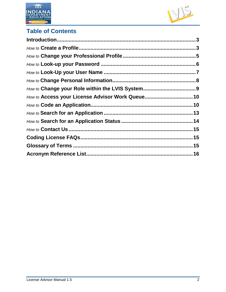



## **Table of Contents**

<span id="page-1-0"></span>

| How to Access your License Advisor Work Queue10 |  |
|-------------------------------------------------|--|
|                                                 |  |
|                                                 |  |
|                                                 |  |
|                                                 |  |
|                                                 |  |
|                                                 |  |
|                                                 |  |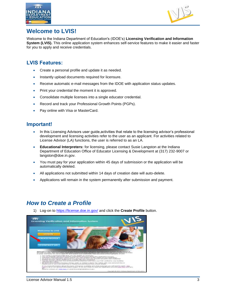



#### **Welcome to LVIS!**

Welcome to the Indiana Department of Education's (IDOE's) **Licensing Verification and Information System (LVIS).** This online application system enhances self-service features to make it easier and faster for you to apply and receive credentials.

#### **LVIS Features:**

- Create a personal profile and update it as needed.
- Instantly upload documents required for licensure.
- Receive automatic e-mail messages from the IDOE with application status updates.
- Print your credential the moment it is approved.
- Consolidate multiple licenses into a single educator credential.
- Record and track your Professional Growth Points (PGPs).
- Pay online with Visa or MasterCard.

#### **Important!**

- In this Licensing Advisors user guide,activities that relate to the licensing advisor's professional development and licensing activities refer to the user as an applicant. For activities related to License Advisor (LA) functions, the user is referred to as an LA.
- **Educational Interpreters:** for licensing, please contact Susie Langston at the Indiana Department of Education Office of Educator Licensing & Development at (317) 232-9007 or langston@doe.in.gov.
- You must pay for your application within 45 days of submission or the application will be automatically deleted.
- All applications not submitted within 14 days of creation date will auto-delete.
- Applications will remain in the system permanently after submission and payment.

### *How to Create a Profile*

1) Log-on to<https://license.doe.in.gov/> and click the **Create Profile** button.

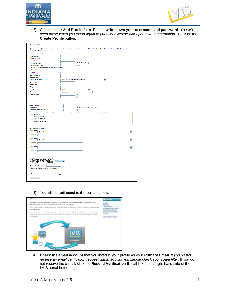



2) Complete the **Add Profile** form. **Please write down your username and password**. *You will need these when you log-in again to print your license and update your information.* Click on the **Create Profile** button.

| <b>Add Profile</b>                                                                                                                                                             |                                                                                                                                                                       |
|--------------------------------------------------------------------------------------------------------------------------------------------------------------------------------|-----------------------------------------------------------------------------------------------------------------------------------------------------------------------|
| to $(C.5 - 14 - 5 - 4(a)(12))$ .                                                                                                                                               | Please enter your full legal name. Your name on your license will display exactly as you enter it here. The information in this application is confidential according |
| * denotes required field                                                                                                                                                       |                                                                                                                                                                       |
| First Name: *                                                                                                                                                                  |                                                                                                                                                                       |
| Middle Name:                                                                                                                                                                   |                                                                                                                                                                       |
| Last Name: *                                                                                                                                                                   |                                                                                                                                                                       |
| Primary E-mail: ^                                                                                                                                                              | Verify E-Mail: *                                                                                                                                                      |
| <b>Secondary E-mail:</b>                                                                                                                                                       | aptional                                                                                                                                                              |
| Do you have a valid Social Security Number:<br>$\odot$ Yes $\odot$ No.                                                                                                         |                                                                                                                                                                       |
| SSN: *                                                                                                                                                                         | $\Omega$                                                                                                                                                              |
| Confirm SSN: ^                                                                                                                                                                 |                                                                                                                                                                       |
| Date of Birth: *                                                                                                                                                               |                                                                                                                                                                       |
| Highest Education Level: *                                                                                                                                                     | - Select your Highest Education Level -<br>v                                                                                                                          |
| Address:                                                                                                                                                                       |                                                                                                                                                                       |
| Address2:                                                                                                                                                                      |                                                                                                                                                                       |
| City:                                                                                                                                                                          |                                                                                                                                                                       |
| State:                                                                                                                                                                         | Indiana                                                                                                                                                               |
|                                                                                                                                                                                | v                                                                                                                                                                     |
| Country:                                                                                                                                                                       | <b><i>Sunted States</i></b> Cother:                                                                                                                                   |
| Postal Code:                                                                                                                                                                   | $\Omega$                                                                                                                                                              |
| <b>Primary Phone:</b>                                                                                                                                                          | $\Omega$                                                                                                                                                              |
| requirements:<br>· Caertal letters<br>· Lower case letters<br>· Numerals<br>· Special characters<br><b>Security Questions: *</b><br>Question<br>- Select One -<br>1:<br>Answer | Passwords must contain at loast 8 alphanumeric characters or symbols, not include your username, and include 3 of the following                                       |
|                                                                                                                                                                                | --------                                                                                                                                                              |
| Question<br>- Select One -<br>2 <sub>1</sub>                                                                                                                                   | ٧                                                                                                                                                                     |
| Answer                                                                                                                                                                         |                                                                                                                                                                       |
|                                                                                                                                                                                |                                                                                                                                                                       |
| Question<br>- Select One -                                                                                                                                                     |                                                                                                                                                                       |
| 3:                                                                                                                                                                             |                                                                                                                                                                       |
| Answer<br>39                                                                                                                                                                   |                                                                                                                                                                       |
|                                                                                                                                                                                |                                                                                                                                                                       |
| Image Verification: *<br>Please enter the above random verification.<br>Agree To Terms of Use. View 'Terms of Use' here.                                                       | Refresh Image                                                                                                                                                         |
| Create Profile                                                                                                                                                                 |                                                                                                                                                                       |

3) You will be redirected to the screen below.



4) **Check the email account** that you listed in your profile as your **Primary Email.** *If you do not receive an email verification request within 30 minutes, please check your spam filter.* If you do not receive the e-mail, click the **Resend Verification Email** link on the right-hand side of the LVIS portal home page.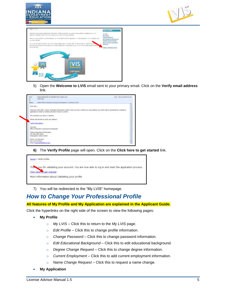





5) Open the **Welcome to LVIS** email sent to your primary email. Click on the **Verify email address**  link.



**6)** The **Verify Profile** page will open. Click on the **Click here to get started** link.



7) You will be redirected to the "My LVIS" homepage.

#### *How to Change Your Professional Profile*

#### **All features of My Profile and My Application are explained in the Applicant Guide.**

Click the hyperlinks on the right side of the screen to view the following pages:

- **My Profile**
	- o *My LVIS* Click this to return to the *My LVIS* page.
	- o *Edit Profile* Click this to change profile information.
	- o *Change Password* Click this to change password information.
	- o *Edit Educational Background* Click this to edit educational background.
	- o *Degree Change Request*  Click this to change degree information.
	- o *Current Employment*  Click this to add current employment information.
	- o *Name Change Request* Click this to request a name change.
- **My Application**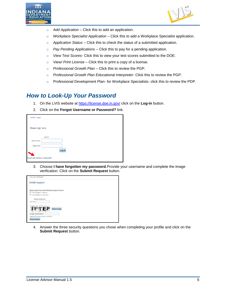



- o *Add Application* Click this to add an application.
- o *Workplace Specialist Application*  Click this to add a Workplace Specialist application*.*
- o *Application Status* Click this to check the status of a submitted application.
- o *Pay Pending Applications* Click this to pay for a pending application.
- o *View Test Scores* Click this to view your test scores submitted to the DOE.
- o *View/ Print License* Click this to print a copy of a license.
- o *Professional Growth Plan* Click this to review the PGP.
- o *Professional Growth Plan Educational Interpreter* Click this to review the PGP.
- o Professional Development Plan- for Workplace Specialists- click this to review the PDP.

#### *How to Look-Up Your Password*

- 1. On the LVIS website at<https://license.doe.in.gov/> click on the **Log-in** button.
- 2. Click on the **Forgot Username or Password?** link.

| Home > Login                  |        |
|-------------------------------|--------|
|                               |        |
| Please login here.            |        |
|                               |        |
|                               | Log In |
| User Name:                    |        |
| Password:                     |        |
|                               | Log In |
|                               |        |
| Forgot User Name or Password? |        |

3. Choose **I have forgotten my password**.Provide your username and complete the image verification. Click on the **Submit Request** button.



4. Answer the three security questions you chose when completing your profile and click on the **Submit Request** button.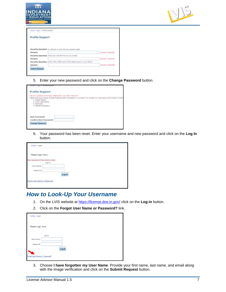



| <b>Profile Support</b>         |                                                                                |                     |
|--------------------------------|--------------------------------------------------------------------------------|---------------------|
|                                |                                                                                |                     |
|                                |                                                                                |                     |
|                                | Socurity Question: In what diy or town did your perants must?                  |                     |
|                                |                                                                                | American responsed  |
|                                |                                                                                |                     |
|                                | Socurity Question: What color was the first var you enried?                    |                     |
|                                |                                                                                | Angwer is required. |
|                                | Security Question: link a the middle name of the object person in your family? |                     |
| Answer:<br>Ariswer:<br>Answer: |                                                                                | Adamar is required. |

5. Enter your new password and click on the **Change Password** button.

| Harne > Lagin = Prafile Support                                                                                                                                                                                                                                                                      |
|------------------------------------------------------------------------------------------------------------------------------------------------------------------------------------------------------------------------------------------------------------------------------------------------------|
| Profile Support                                                                                                                                                                                                                                                                                      |
| Security Question confirmed, please enter your New Pespeorit<br>Passesoids must contain at least 5 alpharuments characters or symbols, not include your usemerne, and include 3 of the<br>+ Capital letters<br>* Limer case letters<br>· Numerals<br>. Special characters<br>ka kutoka mwaka wa 1992 |
| æπ<br>New Passwerd:<br>Confirm New Password:                                                                                                                                                                                                                                                         |
|                                                                                                                                                                                                                                                                                                      |

6. Your password has been reset. Enter your username and new password and click on the **Log In** button.

| Home > Segin                         |                                            |  |  |
|--------------------------------------|--------------------------------------------|--|--|
| Please login here.                   |                                            |  |  |
| <b>Tour password has been reset.</b> | Log In                                     |  |  |
| User Name:                           | and privilege                              |  |  |
| Palesword:                           |                                            |  |  |
|                                      |                                            |  |  |
| Forgot User Name or Password?        |                                            |  |  |
|                                      | a management of the control of the project |  |  |
|                                      |                                            |  |  |

#### *How to Look-Up Your Username*

- 1. On the LVIS website at<https://license.doe.in.gov/> click on the **Log-in** button.
- 2. Click on the **Forgot User Name or Password?** link.

| Home > Login                  |        |
|-------------------------------|--------|
|                               |        |
| Please login here.            |        |
|                               |        |
|                               | Log In |
| User Name:                    |        |
| Password:                     |        |
|                               | Log In |
|                               |        |
| forgot User Name or Password? |        |

3. Choose **I have forgotten my User Name**. Provide your first name, last name, and email along with the image verification and click on the **Submit Request** button.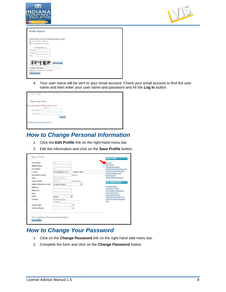

| <b>Profile Support</b>                           |                     |  |  |
|--------------------------------------------------|---------------------|--|--|
| Please select from the following support issues: |                     |  |  |
| (6) I have forgotten my Line Harns.              |                     |  |  |
| <b>Van Rom Russiers</b>                          |                     |  |  |
| Fuel Same:                                       |                     |  |  |
| <b>Jack Treme!</b>                               |                     |  |  |
| Deal .                                           |                     |  |  |
| TFTE                                             | <b>Rethest (mag</b> |  |  |
| Timage Verification: -                           |                     |  |  |
| Peans and the atove random verification.         |                     |  |  |
| <b>Balanch Request</b>                           |                     |  |  |

4. Your user name will be sent to your email account. Check your email account to find the user name and then enter your user name and password and hit the **Log In** button.

| <b>Haina F Luger</b>               |                             |  |  |  |
|------------------------------------|-----------------------------|--|--|--|
| Please login here,                 |                             |  |  |  |
| four semmanne will be sent to you. | <b>CONTRACTOR</b><br>Ang In |  |  |  |
| Gase Name:                         |                             |  |  |  |
| Fessionist:                        |                             |  |  |  |
|                                    |                             |  |  |  |
|                                    |                             |  |  |  |
| Terportune to arms testi team      |                             |  |  |  |

## *How to Change Personal Information*

- 1. Click the **Edit Profile** link on the right-hand menu bar.
- 2. Edit the information and click on the **Save Profile** button**.**

| <b>First Name:</b>       | <b>Simple</b>               |                | MiLLVIS                                            |
|--------------------------|-----------------------------|----------------|----------------------------------------------------|
| <b>Middle Name:</b>      |                             |                | Ede Profile<br>Change Password                     |
| <b>Last Name:</b>        | Cust.                       |                | Edit Educational Background                        |
| <b>E-mail:</b>           |                             | Verify E-Mail: | Degree Change Request<br><b>Current Engilement</b> |
| Secondary E-mail:        |                             | retxivial.     | <b>Hote Request</b>                                |
| SSN:                     | ses Jues Jusee 1            |                | <b>Name Change Respect</b>                         |
| Data of flirth:          | <b>POTTER</b>               | WALDO/YYYY     | <b>My Application</b>                              |
| Highest Education Level: | Academic Degree             |                |                                                    |
| <b>Address:</b>          |                             |                | And Anglication<br>Aculication Status              |
| Address 2:               |                             |                | <b>Fay Fendrol Applications</b>                    |
| City:                    |                             |                | <b>View Test Scores</b><br>View (Print Licenses    |
| <b>State:</b>            | Indiana                     |                | Framewood Grawth Plan                              |
| Country:                 | ED Lasted States<br>COBWIL. |                | Professional Devalopment<br>FGH.                   |
| Pental Code:             |                             |                |                                                    |
|                          |                             |                |                                                    |

### *How to Change Your Password*

- 1. Click on the **Change Password** link on the right-hand side menu bar.
- 2. Complete the form and click on the **Change Password** button.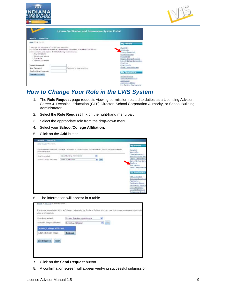



|                                                                                                                                                                                    | License Verification and Information System Portal                                                                                                                             |                                                                                                                                                                                                                        |
|------------------------------------------------------------------------------------------------------------------------------------------------------------------------------------|--------------------------------------------------------------------------------------------------------------------------------------------------------------------------------|------------------------------------------------------------------------------------------------------------------------------------------------------------------------------------------------------------------------|
| <b>Contact Us</b><br>My LV15                                                                                                                                                       |                                                                                                                                                                                |                                                                                                                                                                                                                        |
| <b>Since y Dienje Reserves</b>                                                                                                                                                     |                                                                                                                                                                                | My Profile                                                                                                                                                                                                             |
| This page will allow you to change your password.<br>+ Capital letters<br>· Lower case letters<br>. Numerate:<br>· Special characters<br>Current Passward:<br><b>New Password:</b> | Passiones must contain at least 8 alphanumeric characters or symbols, not include<br>your usemams, and include 3 of the following requirements:<br>Fassword is case sensitive. | <b>MY LYTE</b><br><b>Gdit Frank</b><br>Change Password<br>Edit Educational<br><b>Background</b><br>Degree Change Request<br>School/ School Careerston<br>Emalevan<br><b>Sale Request</b><br><b>Name Change Request</b> |
| Confirm New Password:<br>Change Password                                                                                                                                           |                                                                                                                                                                                | My Application<br>Add Application<br>Workiplace Boaclallat<br>Application<br><b>Application Status</b><br>Pay Pending Applications                                                                                     |

### *How to Change Your Role in the LVIS System*

- 1. The **Role Request** page requests viewing permission related to duties as a Licensing Advisor, Career & Technical Education (CTE) Director, School Corporation Authority, or School Building Administrator.
- 2. Select the **Role Request** link on the right-hand menu bar.
- 3. Select the appropriate role from the drop-down menu.
- **4.** Select your **School/College Affiliation.**
- 5. Click on the **Add** button.



6. The information will appear in a table.

| School/College Affiliated:       |                      |                      |  |
|----------------------------------|----------------------|----------------------|--|
|                                  | Select an Affliation | Add<br>$\mathcal{P}$ |  |
| <b>School/College Affiliated</b> |                      |                      |  |
| Adams School - D025              | Remove               |                      |  |

- **7.** Click on the **Send Request** button.
- 8. A confirmation screen will appear verifying successful submission.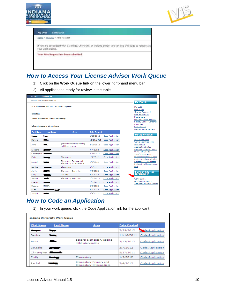



| your work queue. | If you are associated with a College, University, or Indiana School you can use this page to request ac |  |
|------------------|---------------------------------------------------------------------------------------------------------|--|
|                  | Your Role Request has been submitted.                                                                   |  |

## *How to Access Your License Advisor Work Queue*

- 1) Click on the **Work Queue link** on the lower right-hand menu bar.
- 2) All applications ready for review in the table.

| <b>My LVIS</b>    | <b>Contact Us</b>                             |                                                   |                     |                  |                                                                                        |
|-------------------|-----------------------------------------------|---------------------------------------------------|---------------------|------------------|----------------------------------------------------------------------------------------|
|                   | Home > My LVIS > License Advisor List         |                                                   |                     |                  | <b>My Profile</b>                                                                      |
|                   | IDOE welcomes Test ElaII to the LVIS portal.  |                                                   |                     |                  | My LVIS<br>Edit Profile                                                                |
| <b>Test FlaTT</b> | <b>License Advisor for Indiana University</b> |                                                   |                     |                  | Change Password<br><b>Edit Educational</b><br>Background<br>Degree Change Request      |
|                   | <b>Indiana University Work Queue</b>          |                                                   |                     |                  | School/ School Corporati<br>Employer<br>Role Request<br>Name Change Request            |
| <b>First Name</b> | <b>Last Name</b>                              | <b>Area</b>                                       | <b>Date Created</b> |                  | <b>My Application</b>                                                                  |
|                   | <b>Nigas</b>                                  |                                                   | 2/29/2012           | Code Application |                                                                                        |
| Denise            | Data a                                        |                                                   | 11/16/2011          | Code Application | Add Application<br>Workplace Specialist                                                |
| Anna              |                                               | general elementary adding<br>mild interventino    | 2/13/2012           | Code Application | Application<br><b>Application Status</b>                                               |
| LaKesha           | <b>STATISTICS</b>                             |                                                   | 3/7/2012            | Code Application | Pay Pending Application:                                                               |
| Christopher       | $\sim$                                        |                                                   | 5/27/2011           | Code Application | View Test Scores<br>View/Print Licenses                                                |
| Emily             |                                               | Elementary                                        | 1/9/2012            | Code Application | Professional Growth Plan                                                               |
| Rachel            |                                               | Elementary Primary and<br>Elementary Intermediate | 2/6/2012            | Code Application | Professional Growth Plan<br><b>Educational Interpreter</b><br>Professional Development |
| Ashlee            |                                               | elementary                                        | 3/6/2012            | Code Application | Plan                                                                                   |
| Ashley            | $\sim$                                        | <b>Elementary Education</b>                       | 3/8/2012            | Code Application |                                                                                        |
| Kelly             |                                               | Reading                                           | 3/8/2012            | Code Application | License Advisor<br>Information                                                         |
| Steven            |                                               | <b>Elementary Education</b>                       | 2/15/2012           | Code Application | Work Queue                                                                             |
| Kristine          | <b>Bamby</b>                                  |                                                   | 2/23/2012           | Code Application | <b>Application Search</b>                                                              |
| Deborah           | tmupl                                         |                                                   | 2/6/2012            | Code Application | <b>Application Status Search</b>                                                       |
| Faith             | وتقليبوا والما                                |                                                   | 3/9/2012            | Code Application |                                                                                        |
| Joseph            | <b>Bandon</b>                                 |                                                   | 3/6/2012            | Code Application |                                                                                        |

## *How to Code an Application*

1) In your work queue, click the Code Application link for the applicant.

|                   | <b>Indiana University Work Queue</b> |                                                   |                     |                  |
|-------------------|--------------------------------------|---------------------------------------------------|---------------------|------------------|
| <b>First Name</b> | <b>Last Name</b>                     | Area                                              | <b>Date Created</b> |                  |
|                   |                                      |                                                   | 2/29/2012           | de Application   |
| Denise            |                                      |                                                   | 11/16/2011          | Code Application |
| Anna              | --                                   | general elementary adding<br>mild interventino    | 2/13/2012           | Code Application |
| LaKesha           |                                      |                                                   | 3/7/2012            | Code Application |
| Christopher       |                                      |                                                   | 5/27/2011           | Code Application |
| Emily             |                                      | Elementary                                        | 1/9/2012            | Code Application |
| Rachel            |                                      | Elementary Primary and<br>Elementary Intermediate | 2/6/2012            | Code Application |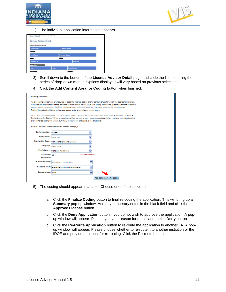



2) The individual application information appears.



- 3) Scroll down to the bottom of the **License Advisor Detail** page and code the license using the series of drop-down menus. Options displayed will vary based on previous selections.
- 4) Click the **Add Content Area for Coding** button when finished.

| Coding a License:       |                                                                                                                  |                                                                                                                               |
|-------------------------|------------------------------------------------------------------------------------------------------------------|-------------------------------------------------------------------------------------------------------------------------------|
|                         |                                                                                                                  | As a licensing advisor you are required to code the license, action and/or content areas for which the applicant is eligible. |
|                         |                                                                                                                  | Please select the correct license information from menus below. If you are coding an addition, please select the rule basis   |
|                         | appropriate to the addition, NOT the rule basis under which the applicant may have obtained the initial license. |                                                                                                                               |
|                         | Restrictions about additions to licenses issued under prior rules no longer apply.                               |                                                                                                                               |
|                         |                                                                                                                  |                                                                                                                               |
|                         |                                                                                                                  | Next, select the appropriate content area and grade coverage. When you have made all required selections, click on "Add       |
|                         |                                                                                                                  | Content Area for Coding." If you are coding multiple content areas, repeat these steps. When you have completed coding,       |
|                         | click "Finalize Coding" to view a summary of your work and approve the credential.                               |                                                                                                                               |
|                         | Select License Credentials and Content Area(s):                                                                  |                                                                                                                               |
|                         |                                                                                                                  |                                                                                                                               |
| Coding Action: Original |                                                                                                                  | v                                                                                                                             |
| Rules Basis: Rules 2002 |                                                                                                                  | v                                                                                                                             |
|                         | Credential Type: Professional Educator License                                                                   | ٧                                                                                                                             |
| Category: instructional |                                                                                                                  | ٧                                                                                                                             |
|                         | Proficiency: Proficient Practitioner                                                                             | ₩                                                                                                                             |
| Internship n            | 5 Year License                                                                                                   |                                                                                                                               |
| Regulred?               |                                                                                                                  |                                                                                                                               |
|                         | School Setting:   Elementary / Intermediate                                                                      | v                                                                                                                             |
| <b>Content Area:</b>    | Elementary/Intermediate Generalist                                                                               | v                                                                                                                             |
| Competency: None        |                                                                                                                  | v                                                                                                                             |
|                         |                                                                                                                  | Add Content Area for Coding                                                                                                   |

- 5) The coding should appear in a table. Choose one of these options:
	- a. Click the **Finalize Coding** button to finalize coding the application. This will bring up a **Summary** pop-up window. Add any necessary notes in the blank field and click the **Approve License** button.
	- b. Click the **Deny Application** button if you do not wish to approve the application. A popup window will appear. Please type your reason for denial and hit the **Deny** button.
	- c. Click the **Re-Route Application** button to re-route the application to another LA. A popup window will appear. Please choose whether to re-route it to another instiution or the IDOE and provide a rational for re-routing. Click the Re-route button.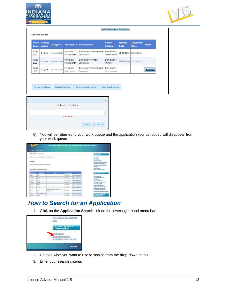



| Original | Instructional | <b>Proficient</b><br>Practitioner | Elementary/Intermediate<br>Generalist | Elementary /<br>Intermediate | 12/19/2006 | 12/19/2011 |                       |
|----------|---------------|-----------------------------------|---------------------------------------|------------------------------|------------|------------|-----------------------|
| Original |               | <b>Proficient</b><br>Practitioner | Elementary/Primary<br>Generalist      | Elementary /<br>Primary      |            |            |                       |
| Original | Instructional | Proficient<br>Practitioner        | Elementary/Intermediate<br>Generalist | Elementary /<br>Intermediate |            |            | <b>Remove</b>         |
|          |               | Instructional                     |                                       |                              |            |            | 12/19/2006 12/19/2011 |

|                                |      | $\overline{\mathbf{x}}$ |
|--------------------------------|------|-------------------------|
| <b>Explanation for denial:</b> |      |                         |
|                                |      | $\hat{\cdot}$           |
| *Required                      |      |                         |
|                                | Deny | Cancel                  |
|                                |      |                         |

6) You will be returned to your work queue and the application you just coded will disappear from your work queue.

| <b>By 1975</b>                                                                         | <b>NAMES</b>                                                                                                 |                                                            |                     |                               |                                                                                                              |
|----------------------------------------------------------------------------------------|--------------------------------------------------------------------------------------------------------------|------------------------------------------------------------|---------------------|-------------------------------|--------------------------------------------------------------------------------------------------------------|
|                                                                                        | WHAT Avenue to the control                                                                                   |                                                            |                     |                               | <b>My Michael</b>                                                                                            |
|                                                                                        | 1206 externs Test Ealth the Life print.<br>in matakang tanah ka                                              |                                                            |                     |                               | 021428<br><b>ALL RICHA</b>                                                                                   |
| <b>TRUT BIG11</b>                                                                      | a that the back of the fact of                                                                               |                                                            |                     |                               | <b>Change footbook</b><br><b>Brit Barnetterie, Betragbuild</b><br><b>Charles Chance Frequent</b>             |
|                                                                                        | ABUSHIA MOVIES/TO/DIVISING MANUSIME<br>Contractor for the contractor of the<br>Estilate Intravely Work Group |                                                            |                     |                               | <b>Birtuari Britani Traileir Bill</b><br><b>Emblecht</b><br><b>Basic Rationals</b><br>Lanter Clience Request |
|                                                                                        |                                                                                                              |                                                            |                     |                               |                                                                                                              |
|                                                                                        | <b>Charles Marine</b>                                                                                        | <b>Basic</b>                                               | <b>BANK STARTER</b> |                               | <b>My Application</b>                                                                                        |
|                                                                                        | take in                                                                                                      |                                                            | 99.3111             | <b>Control and Solita and</b> | <b>AALDHOMANY</b>                                                                                            |
|                                                                                        | <b>Willia</b>                                                                                                |                                                            | 99.212              | 120120-0022                   | <b>Construct Enterprise</b>                                                                                  |
|                                                                                        | <b>Burnet</b>                                                                                                |                                                            | 10:30:0011          | <b>Control de la Contrata</b> | <b>Contractor</b><br><b>American Avenue</b>                                                                  |
|                                                                                        | $-0.0001$                                                                                                    |                                                            | 39.2111             | <b>GRANDERS</b>               | <b>By The world Americans</b>                                                                                |
|                                                                                        | <b>Brand</b>                                                                                                 |                                                            | ic scholad:         | basi kosiceto                 | Life: This Listens<br><b><i>URLEARN LEADER</i></b>                                                           |
|                                                                                        | Airlin                                                                                                       |                                                            | 111107011           | <b>CANADA GARA</b>            | Folklock Strait 14                                                                                           |
| <b>The Paris</b><br>to party<br>020427<br>Thorse<br><b>Divise</b><br><b>Street Co.</b> | the co-                                                                                                      | tattenti a amantari, scono misi<br><b><i>ISBN WITH</i></b> | <b>SUSHER</b>       | <b>Cost Lucianus</b>          | <b>HALLMAN SHOWS RAD</b><br><b>UNITED STATES</b><br>Folks Lond, Development, Ran-                            |
| Fare.<br><b>HORAY</b><br><b>TRIPS</b>                                                  | <b>Elemental Banche</b>                                                                                      |                                                            | 991911              | Data Andrew et                | <b>License Adviser</b>                                                                                       |

## *How to Search for an Application*

1. Click on the **Application Search** link on the lower right-hand menu bar.



- 2. Choose what you want to use to search from the drop-down menu.
- 3. Enter your search criteria.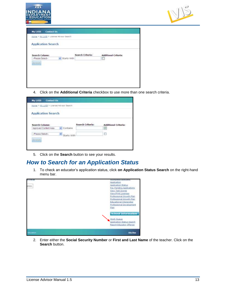



| <b>Contact Us</b><br>My LVIS<br>Home > My LVIS > License Advisor Search |             |                  |                             |
|-------------------------------------------------------------------------|-------------|------------------|-----------------------------|
| <b>Application Search</b>                                               |             |                  |                             |
| A. (200) (C)<br>Search Column:                                          |             | Search Criteria: | <b>Additional Criteria:</b> |
| -Flease Select-                                                         | Starts With |                  | n                           |
| <b>Beatch</b>                                                           |             |                  |                             |
|                                                                         |             |                  |                             |
|                                                                         |             |                  |                             |
|                                                                         |             |                  |                             |
|                                                                         |             |                  |                             |
|                                                                         |             |                  |                             |

4. Click on the **Additional Criteria** checkbox to use more than one search criteria.

| <b>Application Search</b>                             |               |                  |                             |
|-------------------------------------------------------|---------------|------------------|-----------------------------|
|                                                       |               |                  |                             |
| Search Column:                                        |               | Search Criteria: | <b>Additional Criteria:</b> |
| Approved Content Area<br><b>SANTONIA (CALIFORNIA)</b> | Contains      |                  | $\overline{v}$              |
| -Please Select-                                       | v Starts With |                  | a                           |

5. Click on the **Search** button to see your results.

### *How to Search for an Application Status*

1. To check an educator's application status, click **on Application Status Search** on the right-hand menu bar.



2. Enter either the **Social Security Number** or **First and Last Name** of the teacher. Click on the **Search** button.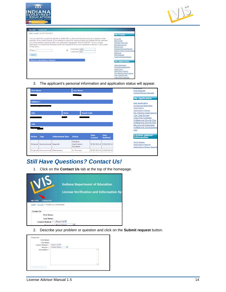



| <b>Contact lis</b><br>My LVIS                                                                                                                                                                                                                                                                                                                                                                                                                                                                                             |                                                                                                                                                                                                           |
|---------------------------------------------------------------------------------------------------------------------------------------------------------------------------------------------------------------------------------------------------------------------------------------------------------------------------------------------------------------------------------------------------------------------------------------------------------------------------------------------------------------------------|-----------------------------------------------------------------------------------------------------------------------------------------------------------------------------------------------------------|
| lamp v SLLLLE v Automotiv Striul Statut.                                                                                                                                                                                                                                                                                                                                                                                                                                                                                  | <b>My Profile</b>                                                                                                                                                                                         |
| Vau can asseth far a particular teacher by either SSS, or the exact first hast name as it appears on the<br>teacher's most current license. If you attempt to search by name and there are multiple records inturned<br>you will be asked hit search by SSA; Any application designated "PCATS (WPORT" is not a current<br>applications it is historical information that was migrated from our prior database to the new LV15 avenues.<br>is May 2011.<br>FirstName: Liane<br>Dasni:<br>Lastitiants: Doe<br><b>Seatt</b> | My LVIE<br>Egit Profile<br>Change Fassaure<br><b>Bélé Bógáabana</b><br>Background<br>Degree Chappe Request<br><b>Echael School Categratic</b><br>Emalisar<br>Field Redakato<br><b>Name Change Request</b> |
| Osk for a description of statures.                                                                                                                                                                                                                                                                                                                                                                                                                                                                                        | <b>My AppEcation</b>                                                                                                                                                                                      |
|                                                                                                                                                                                                                                                                                                                                                                                                                                                                                                                           | Add Application<br>Welferface Seacialist<br>Againstor<br>Apalication Esistes<br>Fay Ferding Applications<br>View Test Scares<br><b>CARDIFFORE LIGRAGES</b>                                                |

3. The applicant's personal information and application status will appear.

|                             | <b>First Name</b>              |                         | <b>Last Name</b>       |                               |                                | <b>Role Request</b>                                           |
|-----------------------------|--------------------------------|-------------------------|------------------------|-------------------------------|--------------------------------|---------------------------------------------------------------|
|                             |                                |                         |                        |                               |                                | Name Change Request                                           |
|                             |                                |                         |                        |                               |                                | <b>My Application</b>                                         |
| <b>Address 1</b>            |                                |                         |                        |                               |                                | Add Application                                               |
|                             |                                |                         |                        |                               |                                | Workplace Specialist<br>Application                           |
|                             |                                |                         |                        |                               |                                | <b>Application Status</b>                                     |
| <b>City</b>                 |                                | <b>State</b>            | <b>Postal Code</b>     |                               |                                | Pay Pending Applications                                      |
|                             |                                |                         |                        |                               |                                | View Test Scores                                              |
|                             |                                |                         |                        |                               |                                |                                                               |
|                             |                                |                         |                        |                               |                                | View/Print Licenses<br>Professional Growth Plan               |
|                             |                                |                         |                        |                               |                                | Professional Growth Plan                                      |
|                             |                                |                         |                        |                               |                                | <b>Educational Interpreter</b>                                |
|                             |                                |                         |                        |                               |                                | <b>Professional Development</b><br>Plan                       |
| <b>SSN</b><br><b>Action</b> | <b>Type</b>                    | <b>Endorsement Desc</b> | <b>Status</b>          | <b>Date</b><br><b>Created</b> | <b>Date</b><br><b>Modified</b> | <b>License Advisor</b><br>Information                         |
|                             |                                |                         | Pending                |                               |                                | Work Queue                                                    |
|                             | Original Instructional Spanish |                         | Application<br>Payment |                               | 5/22/2012 5/22/2012            | <b>Application Search</b><br><b>Application Status Search</b> |

### *Still Have Questions? Contact Us!*

1. Click on the **Contact Us** tab at the top of the homepage.



2. Describe your problem or question and click on the **Submit request** button.

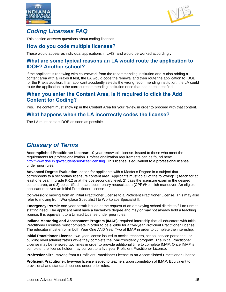



### *Coding Licenses FAQ*

This section answers questions about coding licenses.

#### **How do you code multiple licenses?**

These would appear as individual applications in LVIS, and would be worked accordingly.

#### **What are some typical reasons an LA would route the application to IDOE? Another school?**

If the applicant is renewing with coursework from the recommending institution and is also adding a content area with a Praxis II test, the LA would code the renewal and then route the application to IDOE for the Praxis addition. If an applicant accidently selects the wrong recommending institution, the LA could route the application to the correct recommending institution once that has been identified.

#### **When you enter the Content Area, is it required to click the Add Content for Coding?**

Yes. The content must show up in the Content Area for your review in order to proceed with that content.

#### **What happens when the LA incorrectly codes the license?**

The LA must contact DOE as soon as possible.

## *Glossary of Terms*

**Accomplished Practitioner License**: 10-year renewable license. Issued to those who meet the requirements for professionalization. Professionalization requirements can be found here: [http://www.doe.in.gov/student-services/licensing.](http://www.doe.in.gov/student-services/licensing) This license is equivalent to a professional license under prior rules.

**Advanced Degree Evaluation**: option for applicants with a Master's Degree in a subject that corresponds to a secondary licensure content area. Applicants must do all of the following: 1) teach for at least one year in grade K-12 or at the postsecondary level; 2) pass the licensure exam in the desired content area, and 3) be certified in cardiopulmonary resuscitation (CPR)/Heimlich maneuver. An eligible applicant receives an Initial Practitioner License.

**Conversion**: moving from an Initial Practitioner License to a Proficient Practitioner License. This may also refer to moving from Workplace Specialist I to Workplace Specialist II.

**Emergency Permit**: one-year permit issued at the request of an employing school district to fill an unmet staffing need. The applicant must have a bachelor's degree and may or may not already hold a teaching license. It is equivalent to a Limited License under prior rules.

**Indiana Mentoring and Assessment Program (IMAP)**: required internship that all educators with Initial Practitioner Licenses must complete in order to be eligible for a five-year Proficient Practitioner License. The educator must enroll in both Year One AND Year Two of IMAP in order to complete the internship.

**Initial Practitioner License**: two-year license issued to novice teachers, school service personnel, or building level administrators while they complete the IMAP/residency program. The Initial Practitioner License may be renewed two times in order to provide additional time to complete IMAP. Once IMAP is complete, the license holder may convert to a five-year Proficient Practitioner License.

**Professionalize**: moving from a Proficient Practitioner License to an Accomplished Practitioner License.

**Proficient Practitioner**: five-year license issued to teachers upon completion of IMAP. Equivalent to provisional and standard licenses under prior rules.